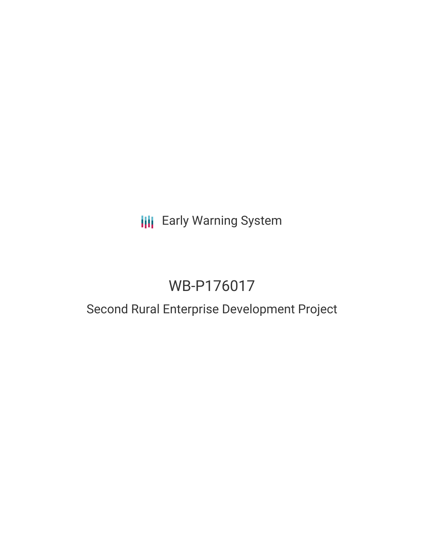## **III** Early Warning System

# WB-P176017

### Second Rural Enterprise Development Project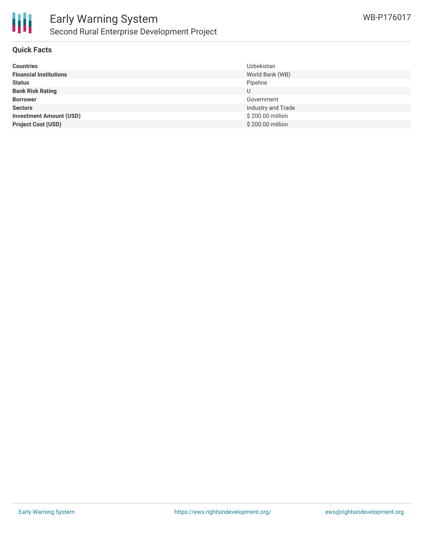

#### **Quick Facts**

| <b>Countries</b>               | <b>Uzbekistan</b>  |
|--------------------------------|--------------------|
| <b>Financial Institutions</b>  | World Bank (WB)    |
| <b>Status</b>                  | Pipeline           |
| <b>Bank Risk Rating</b>        | U                  |
| <b>Borrower</b>                | Government         |
| <b>Sectors</b>                 | Industry and Trade |
| <b>Investment Amount (USD)</b> | \$200.00 million   |
| <b>Project Cost (USD)</b>      | \$200.00 million   |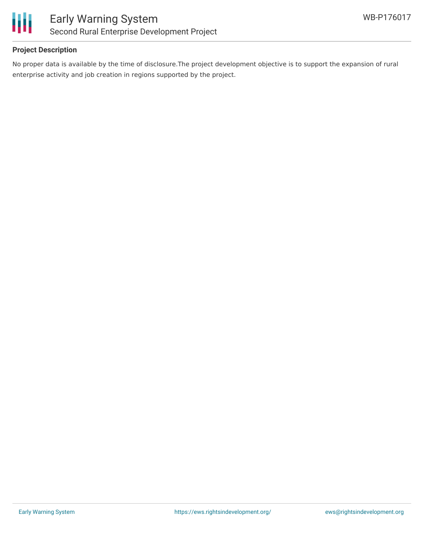

#### **Project Description**

No proper data is available by the time of disclosure.The project development objective is to support the expansion of rural enterprise activity and job creation in regions supported by the project.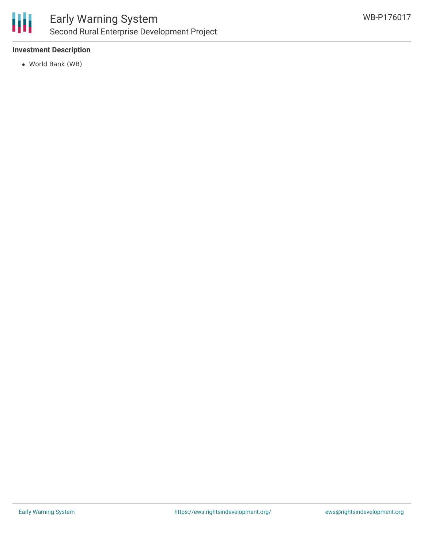

#### **Investment Description**

World Bank (WB)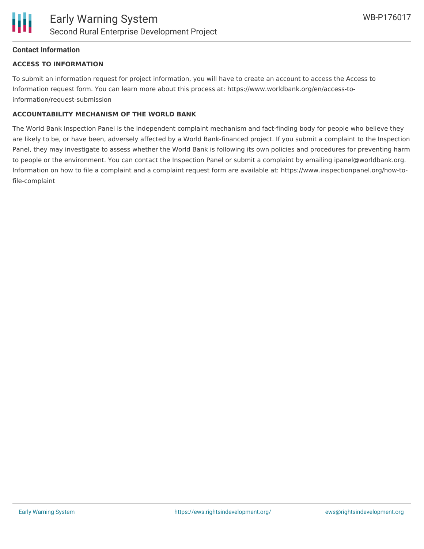#### **Contact Information**

#### **ACCESS TO INFORMATION**

To submit an information request for project information, you will have to create an account to access the Access to Information request form. You can learn more about this process at: https://www.worldbank.org/en/access-toinformation/request-submission

#### **ACCOUNTABILITY MECHANISM OF THE WORLD BANK**

The World Bank Inspection Panel is the independent complaint mechanism and fact-finding body for people who believe they are likely to be, or have been, adversely affected by a World Bank-financed project. If you submit a complaint to the Inspection Panel, they may investigate to assess whether the World Bank is following its own policies and procedures for preventing harm to people or the environment. You can contact the Inspection Panel or submit a complaint by emailing ipanel@worldbank.org. Information on how to file a complaint and a complaint request form are available at: https://www.inspectionpanel.org/how-tofile-complaint